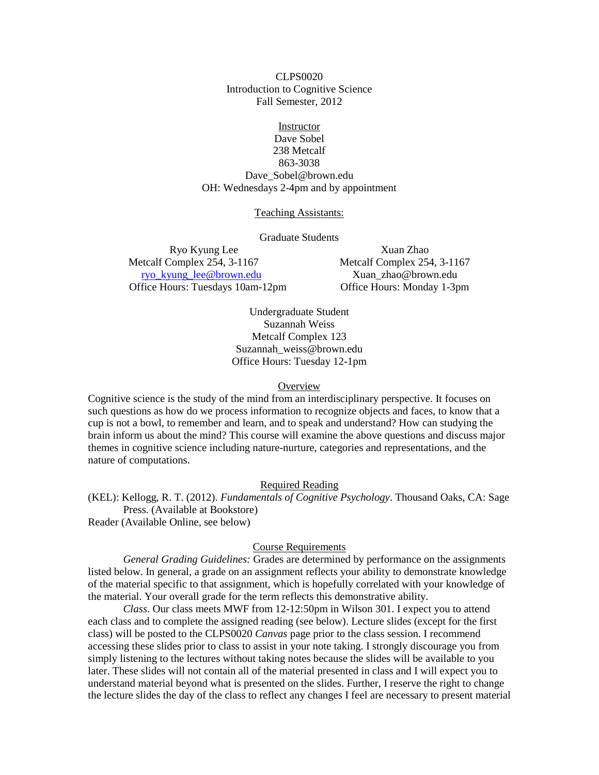CLPS0020 Introduction to Cognitive Science Fall Semester, 2012

**Instructor** Dave Sobel 238 Metcalf 863-3038 Dave\_Sobel@brown.edu OH: Wednesdays 2-4pm and by appointment

Teaching Assistants:

Graduate Students

Ryo Kyung Lee Xuan Zhao Metcalf Complex 254, 3-1167 Metcalf Complex 254, 3-1167 [ryo\\_kyung\\_lee@brown.edu](mailto:ryo_kyung_lee@brown.edu) Xuan\_zhao@brown.edu Office Hours: Tuesdays 10am-12pm Office Hours: Monday 1-3pm

Undergraduate Student Suzannah Weiss Metcalf Complex 123 Suzannah\_weiss@brown.edu Office Hours: Tuesday 12-1pm

**Overview** 

Cognitive science is the study of the mind from an interdisciplinary perspective. It focuses on such questions as how do we process information to recognize objects and faces, to know that a cup is not a bowl, to remember and learn, and to speak and understand? How can studying the brain inform us about the mind? This course will examine the above questions and discuss major themes in cognitive science including nature-nurture, categories and representations, and the nature of computations.

## Required Reading

(KEL): Kellogg, R. T. (2012). *Fundamentals of Cognitive Psychology*. Thousand Oaks, CA: Sage Press. (Available at Bookstore) Reader (Available Online, see below)

## Course Requirements

*General Grading Guidelines:* Grades are determined by performance on the assignments listed below. In general, a grade on an assignment reflects your ability to demonstrate knowledge of the material specific to that assignment, which is hopefully correlated with your knowledge of the material. Your overall grade for the term reflects this demonstrative ability.

*Class*. Our class meets MWF from 12-12:50pm in Wilson 301. I expect you to attend each class and to complete the assigned reading (see below). Lecture slides (except for the first class) will be posted to the CLPS0020 *Canvas* page prior to the class session. I recommend accessing these slides prior to class to assist in your note taking. I strongly discourage you from simply listening to the lectures without taking notes because the slides will be available to you later. These slides will not contain all of the material presented in class and I will expect you to understand material beyond what is presented on the slides. Further, I reserve the right to change the lecture slides the day of the class to reflect any changes I feel are necessary to present material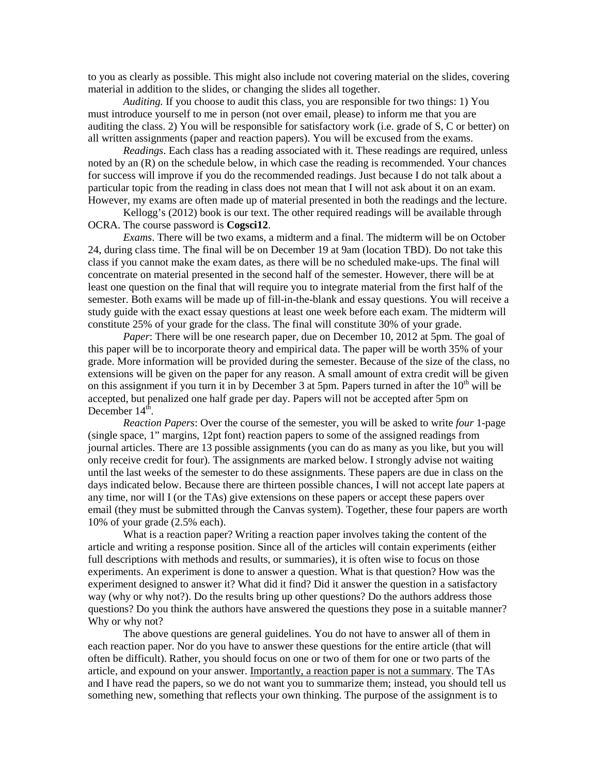to you as clearly as possible. This might also include not covering material on the slides, covering material in addition to the slides, or changing the slides all together.

*Auditing.* If you choose to audit this class, you are responsible for two things: 1) You must introduce yourself to me in person (not over email, please) to inform me that you are auditing the class. 2) You will be responsible for satisfactory work (i.e. grade of S, C or better) on all written assignments (paper and reaction papers). You will be excused from the exams.

*Readings*. Each class has a reading associated with it. These readings are required, unless noted by an (R) on the schedule below, in which case the reading is recommended. Your chances for success will improve if you do the recommended readings. Just because I do not talk about a particular topic from the reading in class does not mean that I will not ask about it on an exam. However, my exams are often made up of material presented in both the readings and the lecture.

Kellogg's (2012) book is our text. The other required readings will be available through OCRA. The course password is **Cogsci12**.

*Exams*. There will be two exams, a midterm and a final. The midterm will be on October 24, during class time. The final will be on December 19 at 9am (location TBD). Do not take this class if you cannot make the exam dates, as there will be no scheduled make-ups. The final will concentrate on material presented in the second half of the semester. However, there will be at least one question on the final that will require you to integrate material from the first half of the semester. Both exams will be made up of fill-in-the-blank and essay questions. You will receive a study guide with the exact essay questions at least one week before each exam. The midterm will constitute 25% of your grade for the class. The final will constitute 30% of your grade.

*Paper*: There will be one research paper, due on December 10, 2012 at 5pm. The goal of this paper will be to incorporate theory and empirical data. The paper will be worth 35% of your grade. More information will be provided during the semester. Because of the size of the class, no extensions will be given on the paper for any reason. A small amount of extra credit will be given on this assignment if you turn it in by December 3 at 5pm. Papers turned in after the  $10<sup>th</sup>$  will be accepted, but penalized one half grade per day. Papers will not be accepted after 5pm on December  $14<sup>th</sup>$ .

*Reaction Papers*: Over the course of the semester, you will be asked to write *four* 1-page (single space, 1" margins, 12pt font) reaction papers to some of the assigned readings from journal articles. There are 13 possible assignments (you can do as many as you like, but you will only receive credit for four). The assignments are marked below. I strongly advise not waiting until the last weeks of the semester to do these assignments. These papers are due in class on the days indicated below. Because there are thirteen possible chances, I will not accept late papers at any time, nor will I (or the TAs) give extensions on these papers or accept these papers over email (they must be submitted through the Canvas system). Together, these four papers are worth 10% of your grade (2.5% each).

What is a reaction paper? Writing a reaction paper involves taking the content of the article and writing a response position. Since all of the articles will contain experiments (either full descriptions with methods and results, or summaries), it is often wise to focus on those experiments. An experiment is done to answer a question. What is that question? How was the experiment designed to answer it? What did it find? Did it answer the question in a satisfactory way (why or why not?). Do the results bring up other questions? Do the authors address those questions? Do you think the authors have answered the questions they pose in a suitable manner? Why or why not?

The above questions are general guidelines. You do not have to answer all of them in each reaction paper. Nor do you have to answer these questions for the entire article (that will often be difficult). Rather, you should focus on one or two of them for one or two parts of the article, and expound on your answer. Importantly, a reaction paper is not a summary. The TAs and I have read the papers, so we do not want you to summarize them; instead, you should tell us something new, something that reflects your own thinking. The purpose of the assignment is to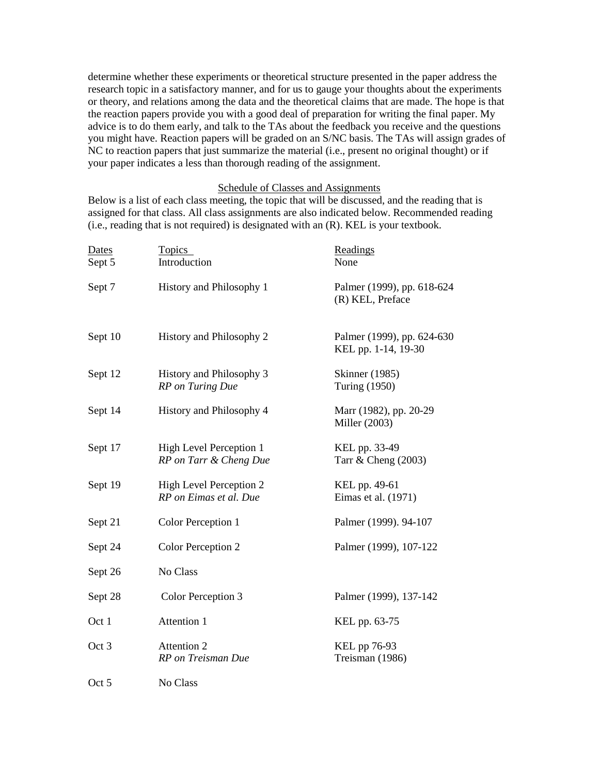determine whether these experiments or theoretical structure presented in the paper address the research topic in a satisfactory manner, and for us to gauge your thoughts about the experiments or theory, and relations among the data and the theoretical claims that are made. The hope is that the reaction papers provide you with a good deal of preparation for writing the final paper. My advice is to do them early, and talk to the TAs about the feedback you receive and the questions you might have. Reaction papers will be graded on an S/NC basis. The TAs will assign grades of NC to reaction papers that just summarize the material (i.e., present no original thought) or if your paper indicates a less than thorough reading of the assignment.

## Schedule of Classes and Assignments

Below is a list of each class meeting, the topic that will be discussed, and the reading that is assigned for that class. All class assignments are also indicated below. Recommended reading (i.e., reading that is not required) is designated with an (R). KEL is your textbook.

| Dates<br>Sept 5 | <b>Topics</b><br>Introduction                     | Readings<br>None                                  |
|-----------------|---------------------------------------------------|---------------------------------------------------|
| Sept 7          | History and Philosophy 1                          | Palmer (1999), pp. 618-624<br>(R) KEL, Preface    |
| Sept 10         | History and Philosophy 2                          | Palmer (1999), pp. 624-630<br>KEL pp. 1-14, 19-30 |
| Sept 12         | History and Philosophy 3<br>RP on Turing Due      | <b>Skinner</b> (1985)<br>Turing (1950)            |
| Sept 14         | History and Philosophy 4                          | Marr (1982), pp. 20-29<br>Miller (2003)           |
| Sept 17         | High Level Perception 1<br>RP on Tarr & Cheng Due | KEL pp. 33-49<br>Tarr $\&$ Cheng (2003)           |
| Sept 19         | High Level Perception 2<br>RP on Eimas et al. Due | KEL pp. 49-61<br>Eimas et al. (1971)              |
| Sept 21         | Color Perception 1                                | Palmer (1999). 94-107                             |
| Sept 24         | Color Perception 2                                | Palmer (1999), 107-122                            |
| Sept 26         | No Class                                          |                                                   |
| Sept 28         | Color Perception 3                                | Palmer (1999), 137-142                            |
| Oct 1           | Attention 1                                       | KEL pp. 63-75                                     |
| Oct 3           | Attention 2<br>RP on Treisman Due                 | KEL pp 76-93<br>Treisman (1986)                   |
| Oct 5           | No Class                                          |                                                   |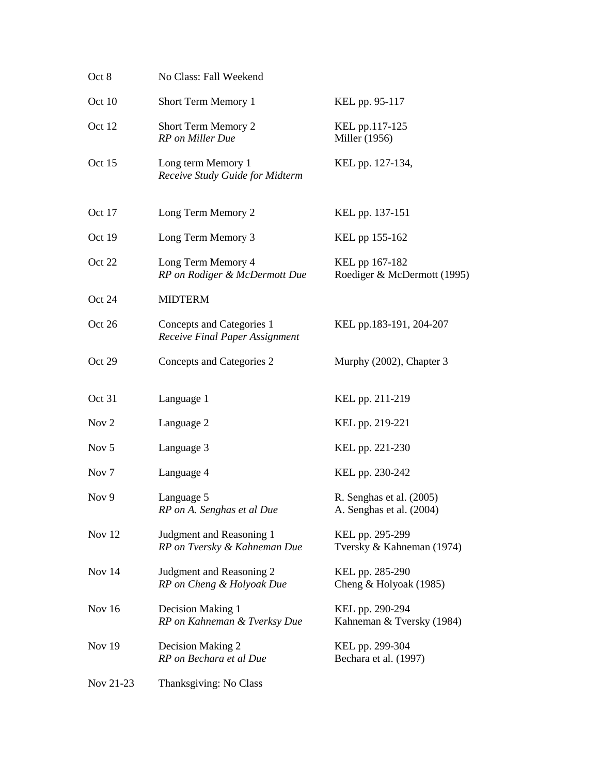| Oct 8            | No Class: Fall Weekend                                      |                                                      |
|------------------|-------------------------------------------------------------|------------------------------------------------------|
| Oct 10           | Short Term Memory 1                                         | KEL pp. 95-117                                       |
| Oct 12           | Short Term Memory 2<br>RP on Miller Due                     | KEL pp.117-125<br>Miller (1956)                      |
| Oct 15           | Long term Memory 1<br>Receive Study Guide for Midterm       | KEL pp. 127-134,                                     |
| Oct 17           | Long Term Memory 2                                          | KEL pp. 137-151                                      |
| Oct 19           | Long Term Memory 3                                          | KEL pp 155-162                                       |
| Oct 22           | Long Term Memory 4<br>RP on Rodiger & McDermott Due         | KEL pp 167-182<br>Roediger & McDermott (1995)        |
| Oct 24           | <b>MIDTERM</b>                                              |                                                      |
| Oct 26           | Concepts and Categories 1<br>Receive Final Paper Assignment | KEL pp.183-191, 204-207                              |
| Oct 29           | Concepts and Categories 2                                   | Murphy (2002), Chapter 3                             |
| Oct 31           | Language 1                                                  | KEL pp. 211-219                                      |
| Nov <sub>2</sub> | Language 2                                                  | KEL pp. 219-221                                      |
| Nov 5            | Language 3                                                  | KEL pp. 221-230                                      |
| Nov <sub>7</sub> | Language 4                                                  | KEL pp. 230-242                                      |
| Nov 9            | Language 5<br>RP on A. Senghas et al Due                    | R. Senghas et al. (2005)<br>A. Senghas et al. (2004) |
| Nov 12           | Judgment and Reasoning 1<br>RP on Tversky & Kahneman Due    | KEL pp. 295-299<br>Tversky & Kahneman (1974)         |
| Nov 14           | Judgment and Reasoning 2<br>RP on Cheng & Holyoak Due       | KEL pp. 285-290<br>Cheng & Holyoak (1985)            |
| Nov 16           | Decision Making 1                                           | KEL pp. 290-294<br>Kahneman & Tversky (1984)         |
|                  | RP on Kahneman & Tverksy Due                                |                                                      |
| <b>Nov 19</b>    | Decision Making 2<br>RP on Bechara et al Due                | KEL pp. 299-304<br>Bechara et al. (1997)             |
| Nov 21-23        | Thanksgiving: No Class                                      |                                                      |